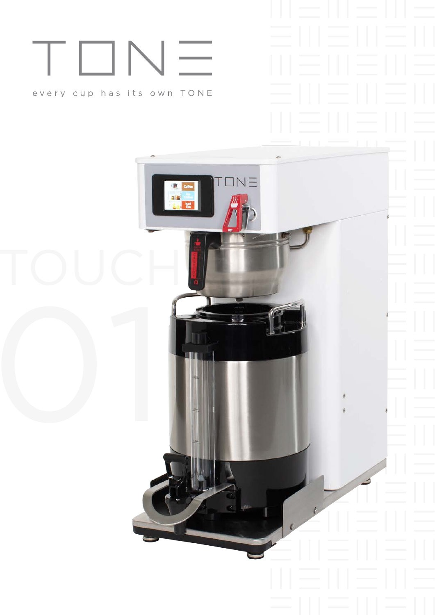# $\sqrt{2}$ T□I

### every cup has its own TONE

 $TN =$ 同語